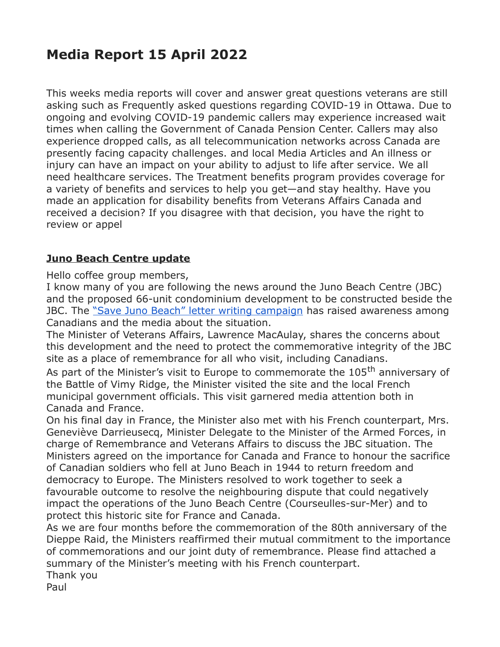# **Media Report 15 April 2022**

This weeks media reports will cover and answer great questions veterans are still asking such as Frequently asked questions regarding COVID-19 in Ottawa. Due to ongoing and evolving COVID-19 pandemic callers may experience increased wait times when calling the Government of Canada Pension Center. Callers may also experience dropped calls, as all telecommunication networks across Canada are presently facing capacity challenges. and local Media Articles and An illness or injury can have an impact on your ability to adjust to life after service. We all need healthcare services. The Treatment benefits program provides coverage for a variety of benefits and services to help you get—and stay healthy. Have you made an application for disability benefits from Veterans Affairs Canada and received a decision? If you disagree with that decision, you have the right to review or appel

### **Juno Beach Centre update**

Hello coffee group members,

I know many of you are following the news around the Juno Beach Centre (JBC) and the proposed 66-unit condominium development to be constructed beside the JBC. The ["Save Juno Beach" letter writing campaign](https://can01.safelinks.protection.outlook.com/?url=https%3A%2F%2Fwww.savejunobeach.ca%2F&data=04%7C01%7Cpamela.harrison@veterans.gc.ca%7C855891bc242a4513845c08da1e33c8ff%7Cdfb1c2a23b9c46218c57576c528bfe74%7C0%7C0%7C637855505000794646%7CUnknown%7CTWFpbGZsb3d8eyJWIjoiMC4wLjAwMDAiLCJQIjoiV2luMzIiLCJBTiI6Ik1haWwiLCJXVCI6Mn0%3D%7C3000&sdata=5SYQUYj86Nsx67C8iRBZarUk0MoPI9Oz%2FrMhl2c878w%3D&reserved=0) has raised awareness among Canadians and the media about the situation.

The Minister of Veterans Affairs, Lawrence MacAulay, shares the concerns about this development and the need to protect the commemorative integrity of the JBC site as a place of remembrance for all who visit, including Canadians.

As part of the Minister's visit to Europe to commemorate the 105<sup>th</sup> anniversary of the Battle of Vimy Ridge, the Minister visited the site and the local French municipal government officials. This visit garnered media attention both in Canada and France.

On his final day in France, the Minister also met with his French counterpart, Mrs. Geneviève Darrieusecq, Minister Delegate to the Minister of the Armed Forces, in charge of Remembrance and Veterans Affairs to discuss the JBC situation. The Ministers agreed on the importance for Canada and France to honour the sacrifice of Canadian soldiers who fell at Juno Beach in 1944 to return freedom and democracy to Europe. The Ministers resolved to work together to seek a favourable outcome to resolve the neighbouring dispute that could negatively impact the operations of the Juno Beach Centre (Courseulles-sur-Mer) and to protect this historic site for France and Canada.

As we are four months before the commemoration of the 80th anniversary of the Dieppe Raid, the Ministers reaffirmed their mutual commitment to the importance of commemorations and our joint duty of remembrance. Please find attached a summary of the Minister's meeting with his French counterpart.

Thank you

Paul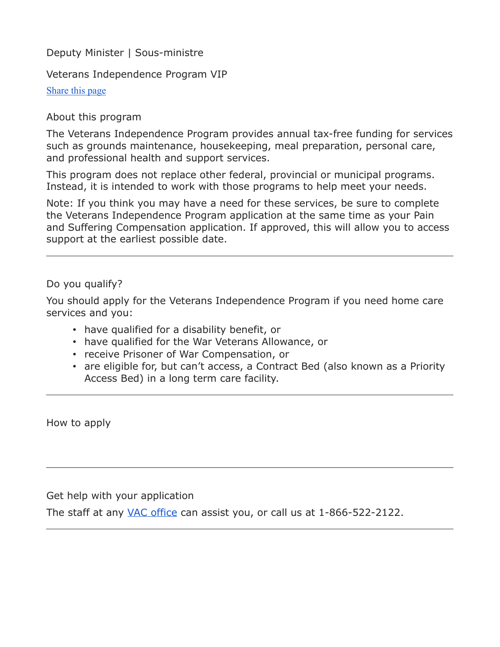Deputy Minister | Sous-ministre

Veterans Independence Program VIP

[Share this page](https://www.veterans.gc.ca/eng/housing-and-home-life/help-at-home/veterans-independence-program#shr-pg-pnl1)

#### About this program

The Veterans Independence Program provides annual tax-free funding for services such as grounds maintenance, housekeeping, meal preparation, personal care, and professional health and support services.

This program does not replace other federal, provincial or municipal programs. Instead, it is intended to work with those programs to help meet your needs.

Note: If you think you may have a need for these services, be sure to complete the Veterans Independence Program application at the same time as your Pain and Suffering Compensation application. If approved, this will allow you to access support at the earliest possible date.

#### Do you qualify?

You should apply for the Veterans Independence Program if you need home care services and you:

- have qualified for a disability benefit, or
- have qualified for the War Veterans Allowance, or
- receive Prisoner of War Compensation, or
- are eligible for, but can't access, a Contract Bed (also known as a Priority Access Bed) in a long term care facility.

How to apply

Get help with your application

The staff at any [VAC office](https://www.veterans.gc.ca/eng/contact) can assist you, or call us at 1-866-522-2122.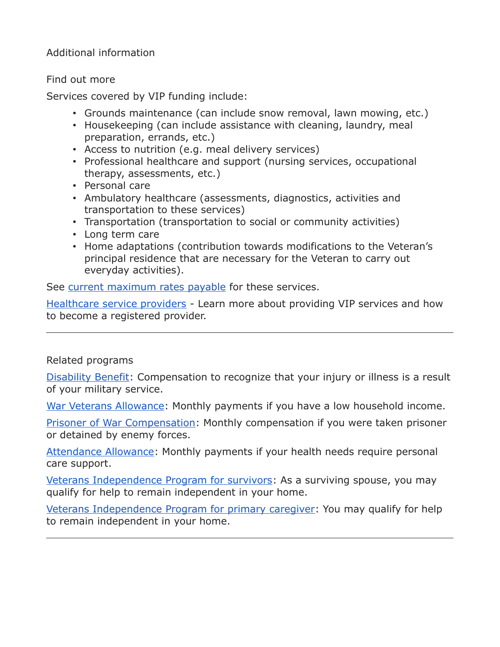Additional information

#### Find out more

Services covered by VIP funding include:

- Grounds maintenance (can include snow removal, lawn mowing, etc.)
- Housekeeping (can include assistance with cleaning, laundry, meal preparation, errands, etc.)
- Access to nutrition (e.g. meal delivery services)
- Professional healthcare and support (nursing services, occupational therapy, assessments, etc.)
- Personal care
- Ambulatory healthcare (assessments, diagnostics, activities and transportation to these services)
- Transportation (transportation to social or community activities)
- Long term care
- Home adaptations (contribution towards modifications to the Veteran's principal residence that are necessary for the Veteran to carry out everyday activities).

See [current maximum rates payable](https://www.veterans.gc.ca/eng/resources/rates#vip) for these services.

[Healthcare service providers](https://www.veterans.gc.ca/eng/health-support/information-for-healthcare-service-providers) - Learn more about providing VIP services and how to become a registered provider.

## Related programs

[Disability Benefit:](https://www.veterans.gc.ca/eng/health-support/physical-health-and-wellness/compensation-illness-injury/disability-benefits) Compensation to recognize that your injury or illness is a result of your military service.

[War Veterans Allowance:](https://www.veterans.gc.ca/eng/financial-support/income-support/war-veterans-allowance) Monthly payments if you have a low household income.

[Prisoner of War Compensation:](https://www.veterans.gc.ca/eng/financial-support/prisoner-of-war-benefits/prisoner-of-war-compensation) Monthly compensation if you were taken prisoner or detained by enemy forces.

[Attendance Allowance:](https://www.veterans.gc.ca/eng/health-support/physical-health-and-wellness/compensation-illness-injury/attendance-allowance) Monthly payments if your health needs require personal care support.

[Veterans Independence Program for survivors:](https://www.veterans.gc.ca/eng/housing-and-home-life/help-at-home/veterans-independence-program-survivors) As a surviving spouse, you may qualify for help to remain independent in your home.

[Veterans Independence Program for primary caregiver:](https://www.veterans.gc.ca/eng/housing-and-home-life/help-at-home/veterans-independence-program-caregivers) You may qualify for help to remain independent in your home.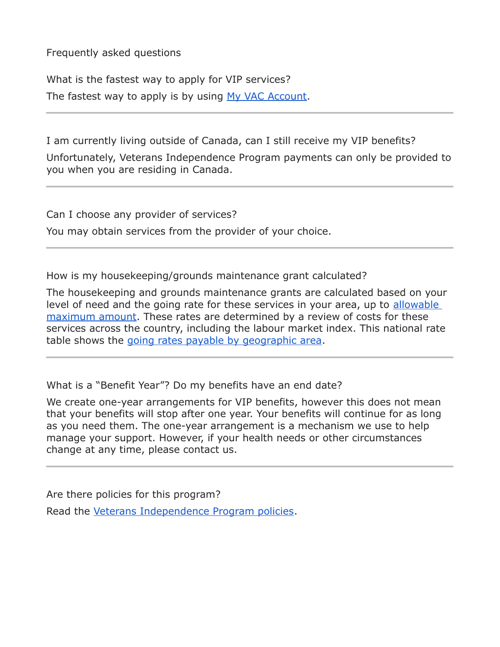Frequently asked questions

What is the fastest way to apply for VIP services? The fastest way to apply is by using [My VAC Account.](https://www.veterans.gc.ca/eng/e_services)

I am currently living outside of Canada, can I still receive my VIP benefits? Unfortunately, Veterans Independence Program payments can only be provided to you when you are residing in Canada.

Can I choose any provider of services?

You may obtain services from the provider of your choice.

How is my housekeeping/grounds maintenance grant calculated?

The housekeeping and grounds maintenance grants are calculated based on your level of need and the going rate for these services in your area, up to allowable [maximum amount.](https://www.veterans.gc.ca/pdf//services/rates/max-vip-rates-2021.pdf) These rates are determined by a review of costs for these services across the country, including the labour market index. This national rate table shows the [going rates payable by geographic area.](https://www.veterans.gc.ca/pdf/rates/vip-nat-rat2021.pdf)

What is a "Benefit Year"? Do my benefits have an end date?

We create one-year arrangements for VIP benefits, however this does not mean that your benefits will stop after one year. Your benefits will continue for as long as you need them. The one-year arrangement is a mechanism we use to help manage your support. However, if your health needs or other circumstances change at any time, please contact us.

Are there policies for this program?

Read the [Veterans Independence Program policies.](https://www.veterans.gc.ca/eng/about-vac/legislation-policies/policies/category/30)